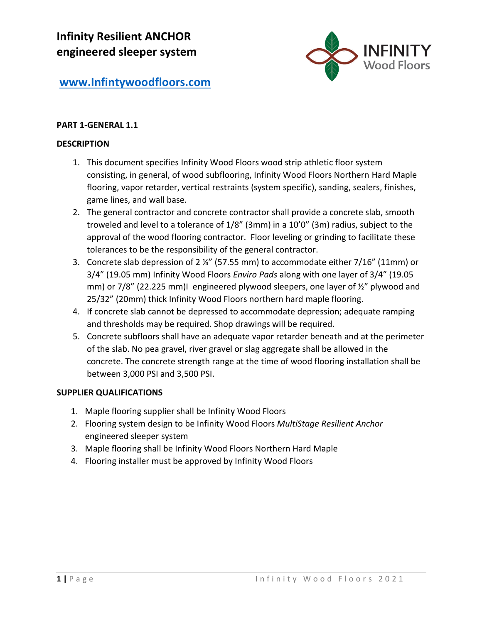

## **PART 1-GENERAL 1.1**

#### **DESCRIPTION**

- 1. This document specifies Infinity Wood Floors wood strip athletic floor system consisting, in general, of wood subflooring, Infinity Wood Floors Northern Hard Maple flooring, vapor retarder, vertical restraints (system specific), sanding, sealers, finishes, game lines, and wall base.
- 2. The general contractor and concrete contractor shall provide a concrete slab, smooth troweled and level to a tolerance of 1/8" (3mm) in a 10'0" (3m) radius, subject to the approval of the wood flooring contractor. Floor leveling or grinding to facilitate these tolerances to be the responsibility of the general contractor.
- 3. Concrete slab depression of 2 ¼" (57.55 mm) to accommodate either 7/16" (11mm) or 3/4" (19.05 mm) Infinity Wood Floors *Enviro Pads* along with one layer of 3/4" (19.05 mm) or 7/8" (22.225 mm)I engineered plywood sleepers, one layer of 1/2" plywood and 25/32" (20mm) thick Infinity Wood Floors northern hard maple flooring.
- 4. If concrete slab cannot be depressed to accommodate depression; adequate ramping and thresholds may be required. Shop drawings will be required.
- 5. Concrete subfloors shall have an adequate vapor retarder beneath and at the perimeter of the slab. No pea gravel, river gravel or slag aggregate shall be allowed in the concrete. The concrete strength range at the time of wood flooring installation shall be between 3,000 PSI and 3,500 PSI.

#### **SUPPLIER QUALIFICATIONS**

- 1. Maple flooring supplier shall be Infinity Wood Floors
- 2. Flooring system design to be Infinity Wood Floors *MultiStage Resilient Anchor* engineered sleeper system
- 3. Maple flooring shall be Infinity Wood Floors Northern Hard Maple
- 4. Flooring installer must be approved by Infinity Wood Floors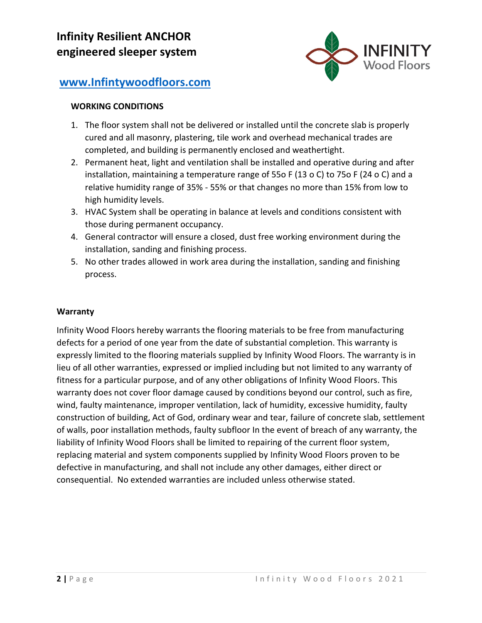

#### **WORKING CONDITIONS**

- 1. The floor system shall not be delivered or installed until the concrete slab is properly cured and all masonry, plastering, tile work and overhead mechanical trades are completed, and building is permanently enclosed and weathertight.
- 2. Permanent heat, light and ventilation shall be installed and operative during and after installation, maintaining a temperature range of 55o F (13 o C) to 75o F (24 o C) and a relative humidity range of 35% - 55% or that changes no more than 15% from low to high humidity levels.
- 3. HVAC System shall be operating in balance at levels and conditions consistent with those during permanent occupancy.
- 4. General contractor will ensure a closed, dust free working environment during the installation, sanding and finishing process.
- 5. No other trades allowed in work area during the installation, sanding and finishing process.

#### **Warranty**

Infinity Wood Floors hereby warrants the flooring materials to be free from manufacturing defects for a period of one year from the date of substantial completion. This warranty is expressly limited to the flooring materials supplied by Infinity Wood Floors. The warranty is in lieu of all other warranties, expressed or implied including but not limited to any warranty of fitness for a particular purpose, and of any other obligations of Infinity Wood Floors. This warranty does not cover floor damage caused by conditions beyond our control, such as fire, wind, faulty maintenance, improper ventilation, lack of humidity, excessive humidity, faulty construction of building, Act of God, ordinary wear and tear, failure of concrete slab, settlement of walls, poor installation methods, faulty subfloor In the event of breach of any warranty, the liability of Infinity Wood Floors shall be limited to repairing of the current floor system, replacing material and system components supplied by Infinity Wood Floors proven to be defective in manufacturing, and shall not include any other damages, either direct or consequential. No extended warranties are included unless otherwise stated.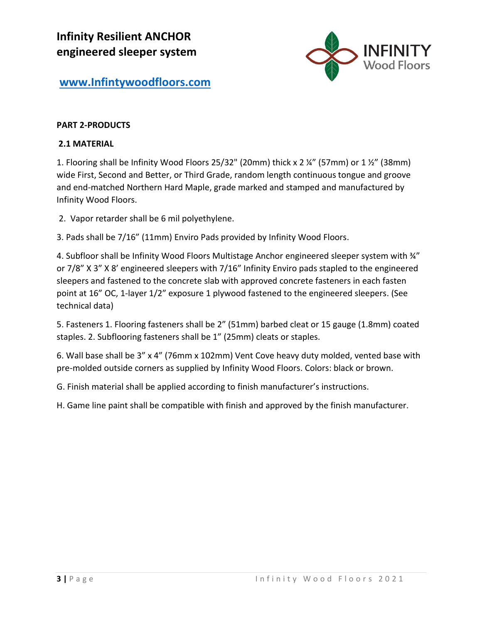

### **PART 2-PRODUCTS**

#### **2.1 MATERIAL**

1. Flooring shall be Infinity Wood Floors 25/32" (20mm) thick x 2 ¼" (57mm) or 1 ½" (38mm) wide First, Second and Better, or Third Grade, random length continuous tongue and groove and end-matched Northern Hard Maple, grade marked and stamped and manufactured by Infinity Wood Floors.

2. Vapor retarder shall be 6 mil polyethylene.

3. Pads shall be 7/16" (11mm) Enviro Pads provided by Infinity Wood Floors.

4. Subfloor shall be Infinity Wood Floors Multistage Anchor engineered sleeper system with  $\frac{3}{4}$ " or 7/8" X 3" X 8' engineered sleepers with 7/16" Infinity Enviro pads stapled to the engineered sleepers and fastened to the concrete slab with approved concrete fasteners in each fasten point at 16" OC, 1-layer 1/2" exposure 1 plywood fastened to the engineered sleepers. (See technical data)

5. Fasteners 1. Flooring fasteners shall be 2" (51mm) barbed cleat or 15 gauge (1.8mm) coated staples. 2. Subflooring fasteners shall be 1" (25mm) cleats or staples.

6. Wall base shall be 3" x 4" (76mm x 102mm) Vent Cove heavy duty molded, vented base with pre-molded outside corners as supplied by Infinity Wood Floors. Colors: black or brown.

G. Finish material shall be applied according to finish manufacturer's instructions.

H. Game line paint shall be compatible with finish and approved by the finish manufacturer.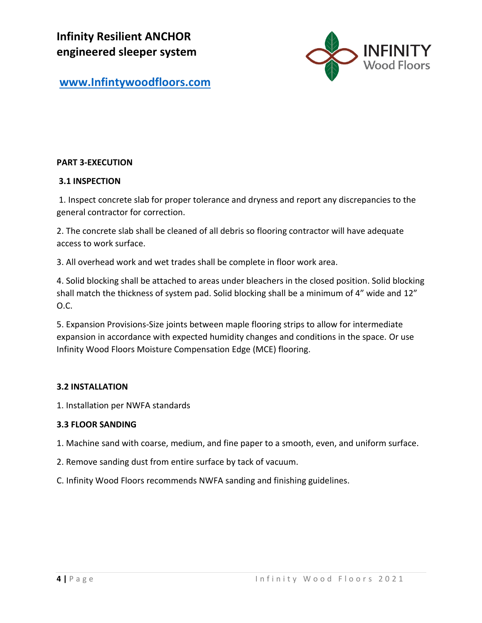**Infinity Resilient ANCHOR engineered sleeper system** 



**[www.Infintywoodfloors.com](http://www.infintywoodfloors.com/)**

### **PART 3-EXECUTION**

### **3.1 INSPECTION**

1. Inspect concrete slab for proper tolerance and dryness and report any discrepancies to the general contractor for correction.

2. The concrete slab shall be cleaned of all debris so flooring contractor will have adequate access to work surface.

3. All overhead work and wet trades shall be complete in floor work area.

4. Solid blocking shall be attached to areas under bleachers in the closed position. Solid blocking shall match the thickness of system pad. Solid blocking shall be a minimum of 4" wide and 12" O.C.

5. Expansion Provisions-Size joints between maple flooring strips to allow for intermediate expansion in accordance with expected humidity changes and conditions in the space. Or use Infinity Wood Floors Moisture Compensation Edge (MCE) flooring.

## **3.2 INSTALLATION**

1. Installation per NWFA standards

#### **3.3 FLOOR SANDING**

1. Machine sand with coarse, medium, and fine paper to a smooth, even, and uniform surface.

- 2. Remove sanding dust from entire surface by tack of vacuum.
- C. Infinity Wood Floors recommends NWFA sanding and finishing guidelines.